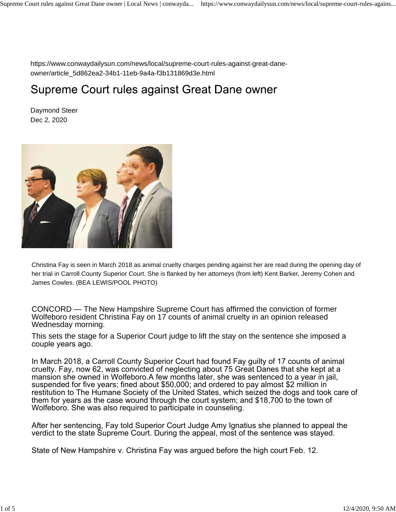https://www.conwaydailysun.com/news/local/supreme-court-rules-against-great-daneowner/article\_5d862ea2-34b1-11eb-9a4a-f3b131869d3e.html

## Supreme Court rules against Great Dane owner

Daymond Steer Dec 2, 2020



Christina Fay is seen in March 2018 as animal cruelty charges pending against her are read during the opening day of her trial in Carroll County Superior Court. She is flanked by her attorneys (from left) Kent Barker, Jeremy Cohen and James Cowles. (BEA LEWIS/POOL PHOTO)

CONCORD — The New Hampshire Supreme Court has affirmed the conviction of former Wolfeboro resident Christina Fay on 17 counts of animal cruelty in an opinion released Wednesday morning.

This sets the stage for a Superior Court judge to lift the stay on the sentence she imposed a couple years ago.

In March 2018, a Carroll County Superior Court had found Fay guilty of 17 counts of animal cruelty. Fay, now 62, was convicted of neglecting about 75 Great Danes that she kept at a mansion she owned in Wolfeboro.A few months later, she was sentenced to a year in jail, suspended for five years; fined about \$50,000; and ordered to pay almost \$2 million in restitution to The Humane Society of the United States, which seized the dogs and took care of them for years as the case wound through the court system; and \$18,700 to the town of Wolfeboro. She was also required to participate in counseling.

After her sentencing, Fay told Superior Court Judge Amy Ignatius she planned to appeal the verdict to the state Supreme Court. During the appeal, most of the sentence was stayed.

State of New Hampshire v. Christina Fay was argued before the high court Feb. 12.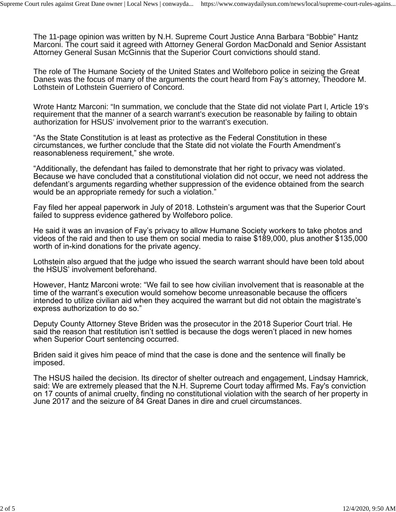The 11-page opinion was written by N.H. Supreme Court Justice Anna Barbara "Bobbie" Hantz Marconi. The court said it agreed with Attorney General Gordon MacDonald and Senior Assistant Attorney General Susan McGinnis that the Superior Court convictions should stand.

The role of The Humane Society of the United States and Wolfeboro police in seizing the Great Danes was the focus of many of the arguments the court heard from Fay's attorney, Theodore M. Lothstein of Lothstein Guerriero of Concord.

Wrote Hantz Marconi: "In summation, we conclude that the State did not violate Part I, Article 19's requirement that the manner of a search warrant's execution be reasonable by failing to obtain authorization for HSUS' involvement prior to the warrant's execution.

"As the State Constitution is at least as protective as the Federal Constitution in these circumstances, we further conclude that the State did not violate the Fourth Amendment's reasonableness requirement," she wrote.

"Additionally, the defendant has failed to demonstrate that her right to privacy was violated. Because we have concluded that a constitutional violation did not occur, we need not address the defendant's arguments regarding whether suppression of the evidence obtained from the search would be an appropriate remedy for such a violation."

Fay filed her appeal paperwork in July of 2018. Lothstein's argument was that the Superior Court failed to suppress evidence gathered by Wolfeboro police.

He said it was an invasion of Fay's privacy to allow Humane Society workers to take photos and videos of the raid and then to use them on social media to raise \$189,000, plus another \$135,000 worth of in-kind donations for the private agency.

Lothstein also argued that the judge who issued the search warrant should have been told about the HSUS' involvement beforehand.

However, Hantz Marconi wrote: "We fail to see how civilian involvement that is reasonable at the time of the warrant's execution would somehow become unreasonable because the officers intended to utilize civilian aid when they acquired the warrant but did not obtain the magistrate's express authorization to do so."

Deputy County Attorney Steve Briden was the prosecutor in the 2018 Superior Court trial. He said the reason that restitution isn't settled is because the dogs weren't placed in new homes when Superior Court sentencing occurred.

Briden said it gives him peace of mind that the case is done and the sentence will finally be imposed.

The HSUS hailed the decision. Its director of shelter outreach and engagement, Lindsay Hamrick, said: We are extremely pleased that the N.H. Supreme Court today affirmed Ms. Fay's conviction on 17 counts of animal cruelty, finding no constitutional violation with the search of her property in June 2017 and the seizure of 84 Great Danes in dire and cruel circumstances.